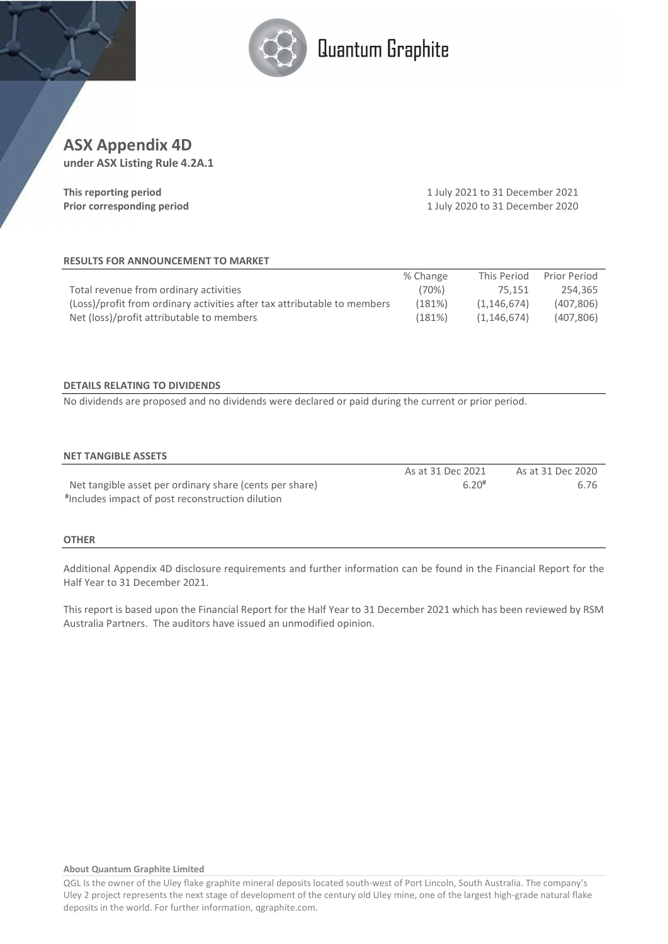

# Quantum Graphite

# ASX Appendix 4D

under ASX Listing Rule 4.2A.1

| This reporting period      |  |
|----------------------------|--|
| Prior corresponding period |  |

1 July 2021 to 31 December 2021 1 July 2020 to 31 December 2020

#### RESULTS FOR ANNOUNCEMENT TO MARKET

|                                                                          | % Change | This Period | Prior Period |
|--------------------------------------------------------------------------|----------|-------------|--------------|
| Total revenue from ordinary activities                                   | (70%)    | 75.151      | 254.365      |
| (Loss)/profit from ordinary activities after tax attributable to members | (181%)   | (1.146.674) | (407, 806)   |
| Net (loss)/profit attributable to members                                | (181%)   | (1.146.674) | (407, 806)   |

#### DETAILS RELATING TO DIVIDENDS

No dividends are proposed and no dividends were declared or paid during the current or prior period.

#### NET TANGIBLE ASSETS

|                                                         | As at 31 Dec 2021   | As at 31 Dec 2020 |
|---------------------------------------------------------|---------------------|-------------------|
| Net tangible asset per ordinary share (cents per share) | $6.20$ <sup>#</sup> | 6.76              |
| #Includes impact of post reconstruction dilution        |                     |                   |

#### **OTHER**

Additional Appendix 4D disclosure requirements and further information can be found in the Financial Report for the Half Year to 31 December 2021.

This report is based upon the Financial Report for the Half Year to 31 December 2021 which has been reviewed by RSM Australia Partners. The auditors have issued an unmodified opinion.

#### About Quantum Graphite Limited

QGL Is the owner of the Uley flake graphite mineral deposits located south-west of Port Lincoln, South Australia. The company's Uley 2 project represents the next stage of development of the century old Uley mine, one of the largest high-grade natural flake deposits in the world. For further information, qgraphite.com.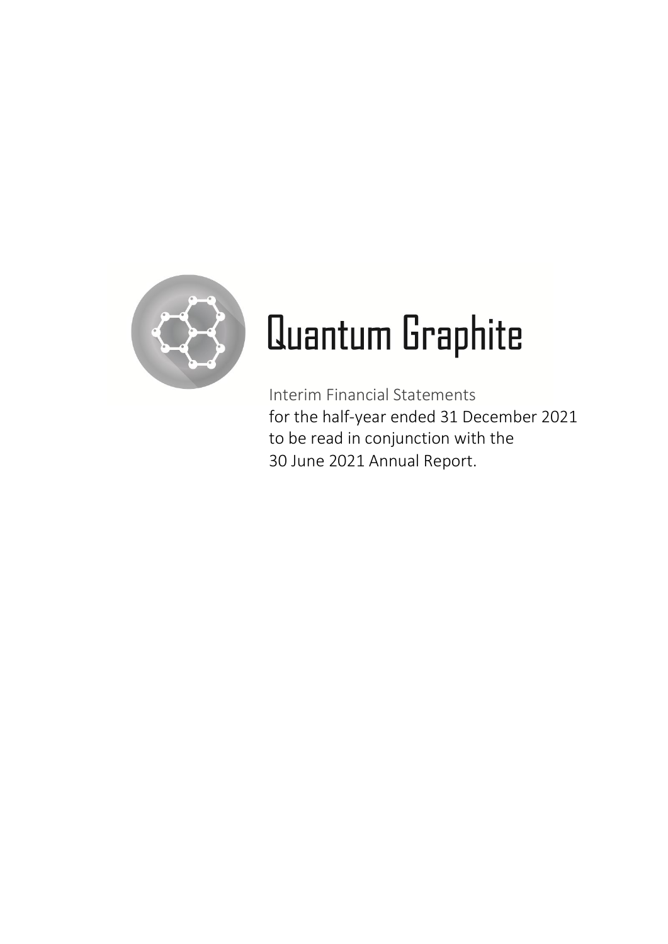

# Quantum Graphite

Interim Financial Statements for the half-year ended 31 December 2021 to be read in conjunction with the 30 June 2021 Annual Report.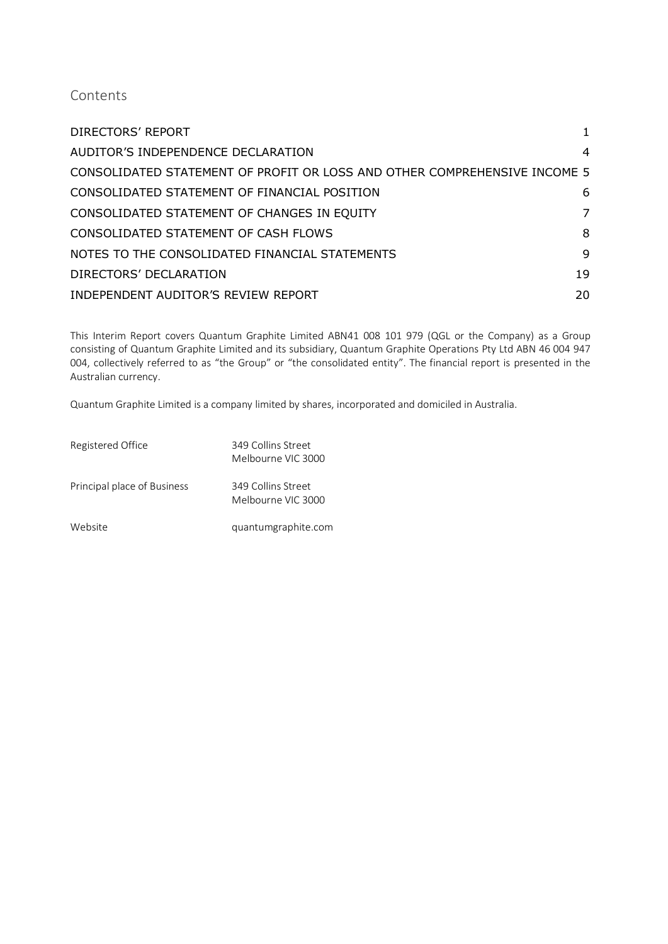# Contents

| <b>DIRECTORS' REPORT</b>                                                  | 1  |
|---------------------------------------------------------------------------|----|
| AUDITOR'S INDEPENDENCE DECLARATION                                        | 4  |
| CONSOLIDATED STATEMENT OF PROFIT OR LOSS AND OTHER COMPREHENSIVE INCOME 5 |    |
| CONSOLIDATED STATEMENT OF FINANCIAL POSITION                              | 6  |
| CONSOLIDATED STATEMENT OF CHANGES IN EQUITY                               | 7  |
| CONSOLIDATED STATEMENT OF CASH FLOWS                                      | 8  |
| NOTES TO THE CONSOLIDATED FINANCIAL STATEMENTS                            | 9  |
| DIRECTORS' DECLARATION                                                    | 19 |
| INDEPENDENT AUDITOR'S REVIEW REPORT                                       | 20 |

This Interim Report covers Quantum Graphite Limited ABN41 008 101 979 (QGL or the Company) as a Group consisting of Quantum Graphite Limited and its subsidiary, Quantum Graphite Operations Pty Ltd ABN 46 004 947 004, collectively referred to as "the Group" or "the consolidated entity". The financial report is presented in the Australian currency.

Quantum Graphite Limited is a company limited by shares, incorporated and domiciled in Australia.

| Registered Office           | 349 Collins Street<br>Melbourne VIC 3000 |
|-----------------------------|------------------------------------------|
| Principal place of Business | 349 Collins Street<br>Melbourne VIC 3000 |
| Website                     | quantumgraphite.com                      |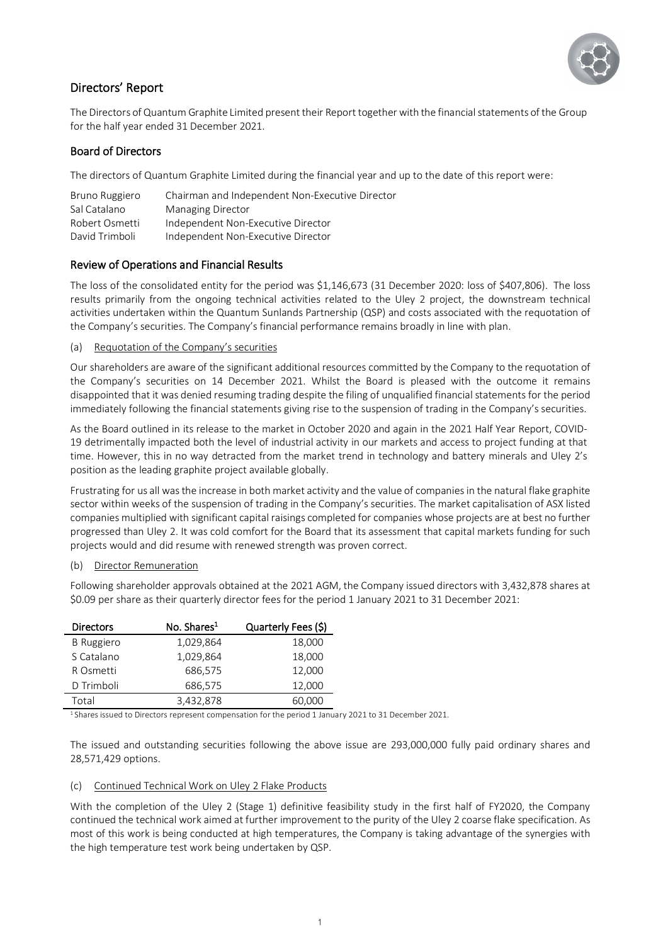

# <span id="page-3-0"></span>Directors' Report

The Directors of Quantum Graphite Limited present their Report together with the financial statements of the Group for the half year ended 31 December 2021.

#### Board of Directors

The directors of Quantum Graphite Limited during the financial year and up to the date of this report were:

| Bruno Ruggiero | Chairman and Independent Non-Executive Director |
|----------------|-------------------------------------------------|
| Sal Catalano   | Managing Director                               |
| Robert Osmetti | Independent Non-Executive Director              |
| David Trimboli | Independent Non-Executive Director              |

#### Review of Operations and Financial Results

The loss of the consolidated entity for the period was \$1,146,673 (31 December 2020: loss of \$407,806). The loss results primarily from the ongoing technical activities related to the Uley 2 project, the downstream technical activities undertaken within the Quantum Sunlands Partnership (QSP) and costs associated with the requotation of the Company's securities. The Company's financial performance remains broadly in line with plan.

#### (a) Requotation of the Company's securities

Our shareholders are aware of the significant additional resources committed by the Company to the requotation of the Company's securities on 14 December 2021. Whilst the Board is pleased with the outcome it remains disappointed that it was denied resuming trading despite the filing of unqualified financial statements for the period immediately following the financial statements giving rise to the suspension of trading in the Company's securities.

As the Board outlined in its release to the market in October 2020 and again in the 2021 Half Year Report, COVID-19 detrimentally impacted both the level of industrial activity in our markets and access to project funding at that time. However, this in no way detracted from the market trend in technology and battery minerals and Uley 2's position as the leading graphite project available globally.

Frustrating for us all was the increase in both market activity and the value of companies in the natural flake graphite sector within weeks of the suspension of trading in the Company's securities. The market capitalisation of ASX listed companies multiplied with significant capital raisings completed for companies whose projects are at best no further progressed than Uley 2. It was cold comfort for the Board that its assessment that capital markets funding for such projects would and did resume with renewed strength was proven correct.

#### (b) Director Remuneration

Following shareholder approvals obtained at the 2021 AGM, the Company issued directors with 3,432,878 shares at \$0.09 per share as their quarterly director fees for the period 1 January 2021 to 31 December 2021:

| <b>Directors</b>  | No. Shares <sup>1</sup> | Quarterly Fees (\$) |
|-------------------|-------------------------|---------------------|
| <b>B</b> Ruggiero | 1,029,864               | 18,000              |
| S Catalano        | 1,029,864               | 18,000              |
| R Osmetti         | 686,575                 | 12,000              |
| D Trimboli        | 686,575                 | 12,000              |
| Total             | 3,432,878               | 60,000              |

1 Shares issued to Directors represent compensation for the period 1 January 2021 to 31 December 2021.

The issued and outstanding securities following the above issue are 293,000,000 fully paid ordinary shares and 28,571,429 options.

#### (c) Continued Technical Work on Uley 2 Flake Products

With the completion of the Uley 2 (Stage 1) definitive feasibility study in the first half of FY2020, the Company continued the technical work aimed at further improvement to the purity of the Uley 2 coarse flake specification. As most of this work is being conducted at high temperatures, the Company is taking advantage of the synergies with the high temperature test work being undertaken by QSP.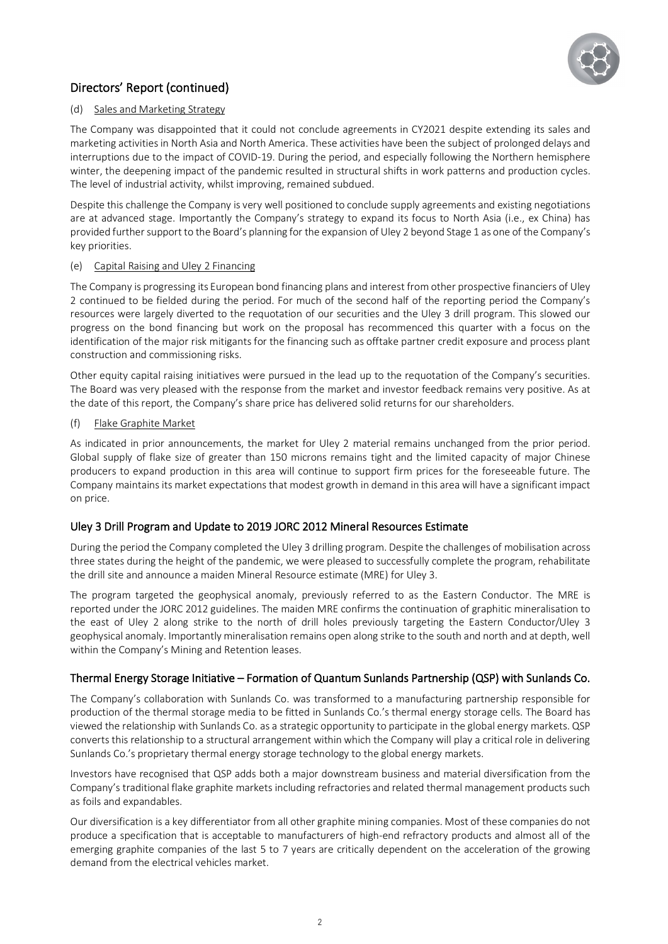

# Directors' Report (continued)

#### (d) Sales and Marketing Strategy

The Company was disappointed that it could not conclude agreements in CY2021 despite extending its sales and marketing activities in North Asia and North America. These activities have been the subject of prolonged delays and interruptions due to the impact of COVID-19. During the period, and especially following the Northern hemisphere winter, the deepening impact of the pandemic resulted in structural shifts in work patterns and production cycles. The level of industrial activity, whilst improving, remained subdued.

Despite this challenge the Company is very well positioned to conclude supply agreements and existing negotiations are at advanced stage. Importantly the Company's strategy to expand its focus to North Asia (i.e., ex China) has provided further support to the Board's planning for the expansion of Uley 2 beyond Stage 1 as one of the Company's key priorities.

#### (e) Capital Raising and Uley 2 Financing

The Company is progressing its European bond financing plans and interest from other prospective financiers of Uley 2 continued to be fielded during the period. For much of the second half of the reporting period the Company's resources were largely diverted to the requotation of our securities and the Uley 3 drill program. This slowed our progress on the bond financing but work on the proposal has recommenced this quarter with a focus on the identification of the major risk mitigants for the financing such as offtake partner credit exposure and process plant construction and commissioning risks.

Other equity capital raising initiatives were pursued in the lead up to the requotation of the Company's securities. The Board was very pleased with the response from the market and investor feedback remains very positive. As at the date of this report, the Company's share price has delivered solid returns for our shareholders.

#### (f) Flake Graphite Market

As indicated in prior announcements, the market for Uley 2 material remains unchanged from the prior period. Global supply of flake size of greater than 150 microns remains tight and the limited capacity of major Chinese producers to expand production in this area will continue to support firm prices for the foreseeable future. The Company maintains its market expectations that modest growth in demand in this area will have a significant impact on price.

#### Uley 3 Drill Program and Update to 2019 JORC 2012 Mineral Resources Estimate

During the period the Company completed the Uley 3 drilling program. Despite the challenges of mobilisation across three states during the height of the pandemic, we were pleased to successfully complete the program, rehabilitate the drill site and announce a maiden Mineral Resource estimate (MRE) for Uley 3.

The program targeted the geophysical anomaly, previously referred to as the Eastern Conductor. The MRE is reported under the JORC 2012 guidelines. The maiden MRE confirms the continuation of graphitic mineralisation to the east of Uley 2 along strike to the north of drill holes previously targeting the Eastern Conductor/Uley 3 geophysical anomaly. Importantly mineralisation remains open along strike to the south and north and at depth, well within the Company's Mining and Retention leases.

#### Thermal Energy Storage Initiative – Formation of Quantum Sunlands Partnership (QSP) with Sunlands Co.

The Company's collaboration with Sunlands Co. was transformed to a manufacturing partnership responsible for production of the thermal storage media to be fitted in Sunlands Co.'s thermal energy storage cells. The Board has viewed the relationship with Sunlands Co. as a strategic opportunity to participate in the global energy markets. QSP converts this relationship to a structural arrangement within which the Company will play a critical role in delivering Sunlands Co.'s proprietary thermal energy storage technology to the global energy markets.

Investors have recognised that QSP adds both a major downstream business and material diversification from the Company's traditional flake graphite markets including refractories and related thermal management products such as foils and expandables.

Our diversification is a key differentiator from all other graphite mining companies. Most of these companies do not produce a specification that is acceptable to manufacturers of high-end refractory products and almost all of the emerging graphite companies of the last 5 to 7 years are critically dependent on the acceleration of the growing demand from the electrical vehicles market.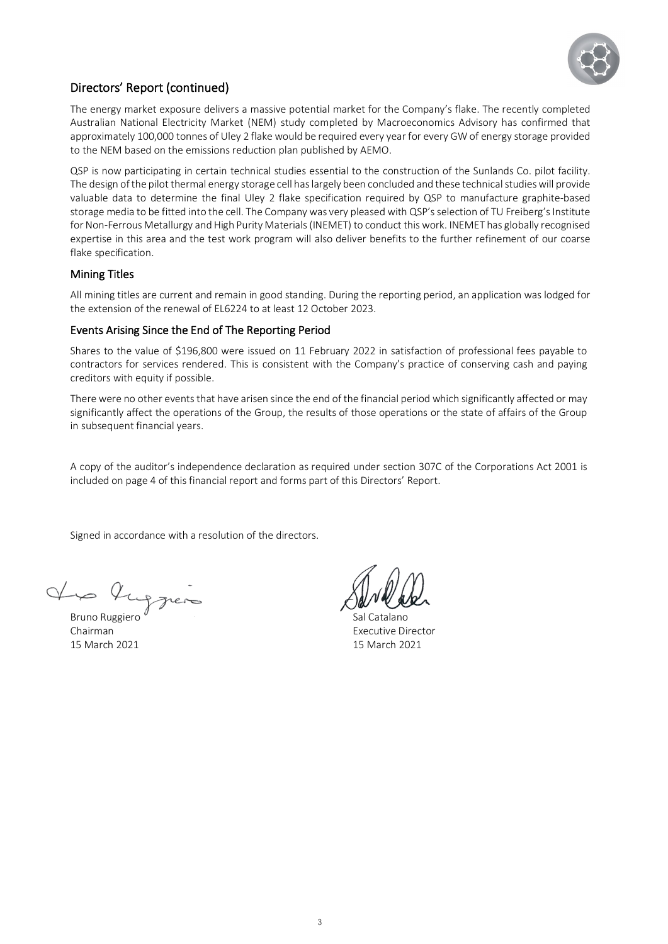

# Directors' Report (continued)

The energy market exposure delivers a massive potential market for the Company's flake. The recently completed Australian National Electricity Market (NEM) study completed by Macroeconomics Advisory has confirmed that approximately 100,000 tonnes of Uley 2 flake would be required every year for every GW of energy storage provided to the NEM based on the emissions reduction plan published by AEMO.

QSP is now participating in certain technical studies essential to the construction of the Sunlands Co. pilot facility. The design of the pilot thermal energy storage cell has largely been concluded and these technical studies will provide valuable data to determine the final Uley 2 flake specification required by QSP to manufacture graphite-based storage media to be fitted into the cell. The Company was very pleased with QSP's selection of TU Freiberg's Institute for Non-Ferrous Metallurgy and High Purity Materials (INEMET) to conduct this work. INEMET has globally recognised expertise in this area and the test work program will also deliver benefits to the further refinement of our coarse flake specification.

#### Mining Titles

All mining titles are current and remain in good standing. During the reporting period, an application was lodged for the extension of the renewal of EL6224 to at least 12 October 2023.

#### Events Arising Since the End of The Reporting Period

Shares to the value of \$196,800 were issued on 11 February 2022 in satisfaction of professional fees payable to contractors for services rendered. This is consistent with the Company's practice of conserving cash and paying creditors with equity if possible.

There were no other events that have arisen since the end of the financial period which significantly affected or may significantly affect the operations of the Group, the results of those operations or the state of affairs of the Group in subsequent financial years.

A copy of the auditor's independence declaration as required under section 307C of the Corporations Act 2001 is included on page 4 of this financial report and forms part of this Directors' Report.

Signed in accordance with a resolution of the directors.

V lupper

**Chairman** Executive Director 15 March 2021 15 March 2021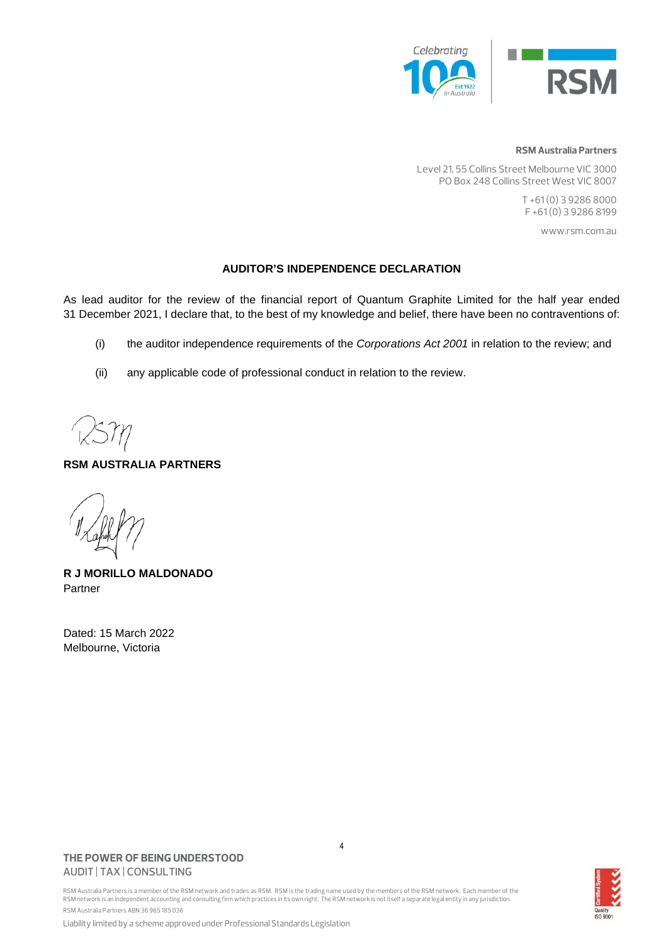

#### **RSM Australia Partners**

Level 21, 55 Collins Street Melbourne VIC 3000 PO Box 248 Collins Street West VIC 8007

> T +61 (0) 3 9286 8000 F +61 (0) 3 9286 8199

> > www.rsm.com.au

#### **AUDITOR'S INDEPENDENCE DECLARATION**

As lead auditor for the review of the financial report of Quantum Graphite Limited for the half year ended 31 December 2021, I declare that, to the best of my knowledge and belief, there have been no contraventions of:

- (i) the auditor independence requirements of the *Corporations Act 2001* in relation to the review; and
- (ii) any applicable code of professional conduct in relation to the review.

#### **RSM AUSTRALIA PARTNERS**

**R J MORILLO MALDONADO**  Partner

Dated: 15 March 2022 Melbourne, Victoria

#### **THE POWER OF BEING UNDERSTOOD** AUDIT | TAX | CONSULTING

4

RSM Australia Partners is a member of the RSM network and trades as RSM. RSM is the trading name used by the members of the RSM network. Each member of the RSM network is an independent accounting and consulting firm which practices in its own right. The RSM network is not itself a separate legal entity in any jurisdiction. RSM Australia Partners ABN 36 965 185 036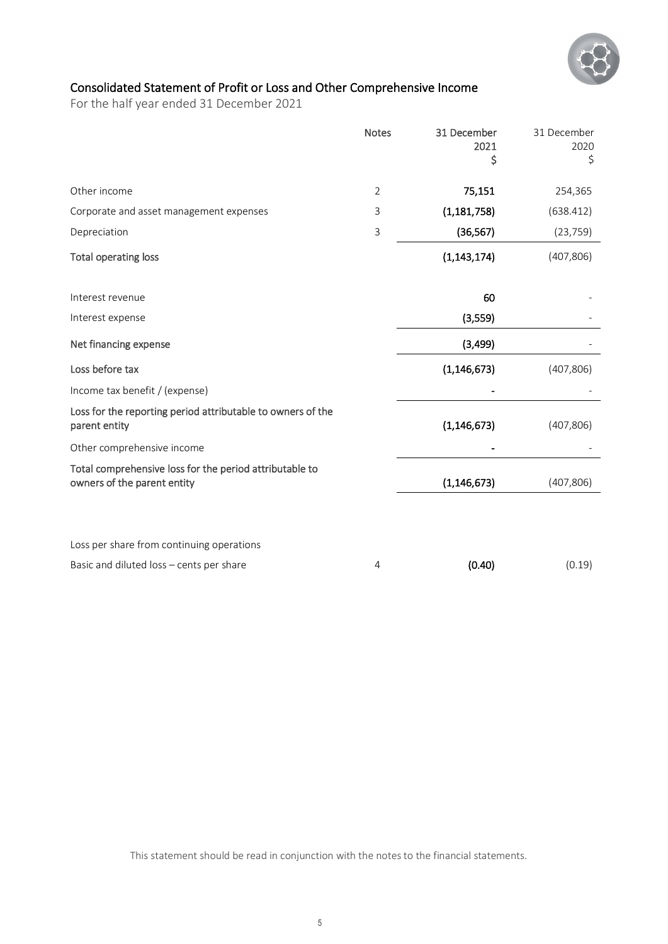

# <span id="page-7-0"></span>Consolidated Statement of Profit or Loss and Other Comprehensive Income

For the half year ended 31 December 2021

|                                                                                        | <b>Notes</b>   | 31 December<br>2021<br>\$ | 31 December<br>2020<br>\$ |
|----------------------------------------------------------------------------------------|----------------|---------------------------|---------------------------|
| Other income                                                                           | $\overline{2}$ | 75,151                    | 254,365                   |
| Corporate and asset management expenses                                                | 3              | (1, 181, 758)             | (638.412)                 |
| Depreciation                                                                           | 3              | (36, 567)                 | (23, 759)                 |
| Total operating loss                                                                   |                | (1, 143, 174)             | (407, 806)                |
| Interest revenue                                                                       |                | 60                        |                           |
| Interest expense                                                                       |                | (3,559)                   |                           |
| Net financing expense                                                                  |                | (3, 499)                  |                           |
| Loss before tax                                                                        |                | (1, 146, 673)             | (407, 806)                |
| Income tax benefit / (expense)                                                         |                |                           |                           |
| Loss for the reporting period attributable to owners of the<br>parent entity           |                | (1, 146, 673)             | (407, 806)                |
| Other comprehensive income                                                             |                |                           |                           |
| Total comprehensive loss for the period attributable to<br>owners of the parent entity |                | (1, 146, 673)             | (407, 806)                |
|                                                                                        |                |                           |                           |
| Loss per share from continuing operations                                              |                |                           |                           |
| Basic and diluted loss - cents per share                                               | 4              | (0.40)                    | (0.19)                    |

This statement should be read in conjunction with the notes to the financial statements.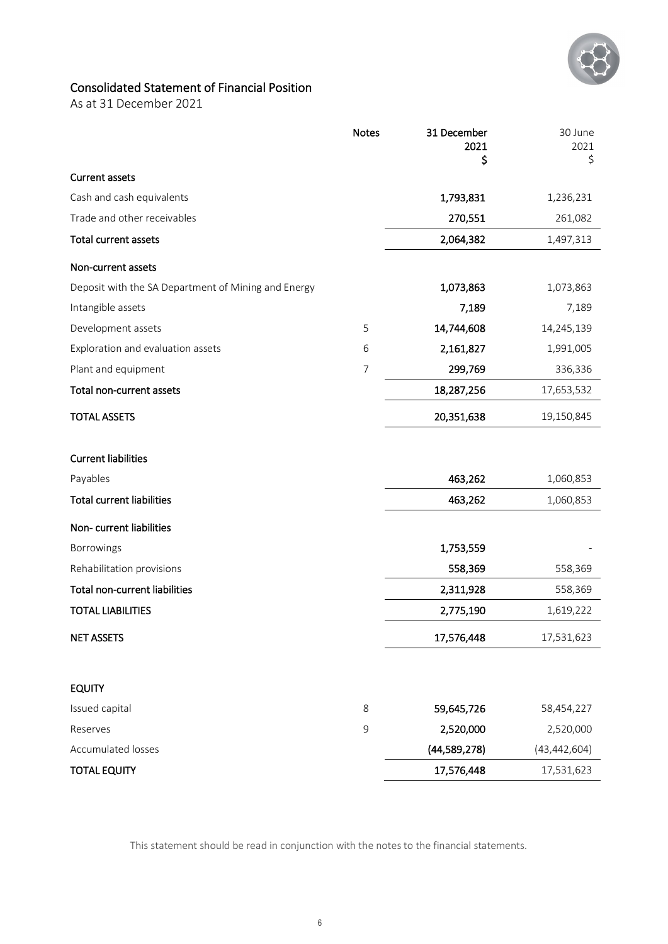

# <span id="page-8-0"></span>Consolidated Statement of Financial Position

As at 31 December 2021

|                                                     | <b>Notes</b>   | 31 December<br>2021 | 30 June<br>2021 |
|-----------------------------------------------------|----------------|---------------------|-----------------|
|                                                     |                | \$                  | \$              |
| <b>Current assets</b>                               |                |                     |                 |
| Cash and cash equivalents                           |                | 1,793,831           | 1,236,231       |
| Trade and other receivables                         |                | 270,551             | 261,082         |
| Total current assets                                |                | 2,064,382           | 1,497,313       |
| Non-current assets                                  |                |                     |                 |
| Deposit with the SA Department of Mining and Energy |                | 1,073,863           | 1,073,863       |
| Intangible assets                                   |                | 7,189               | 7,189           |
| Development assets                                  | 5              | 14,744,608          | 14,245,139      |
| Exploration and evaluation assets                   | 6              | 2,161,827           | 1,991,005       |
| Plant and equipment                                 | $\overline{7}$ | 299,769             | 336,336         |
| Total non-current assets                            |                | 18,287,256          | 17,653,532      |
| <b>TOTAL ASSETS</b>                                 |                | 20,351,638          | 19,150,845      |
| <b>Current liabilities</b>                          |                |                     |                 |
| Payables                                            |                | 463,262             | 1,060,853       |
| <b>Total current liabilities</b>                    |                | 463,262             | 1,060,853       |
| Non-current liabilities                             |                |                     |                 |
| Borrowings                                          |                | 1,753,559           |                 |
| Rehabilitation provisions                           |                | 558,369             | 558,369         |
| Total non-current liabilities                       |                | 2,311,928           | 558,369         |
| <b>TOTAL LIABILITIES</b>                            |                | 2,775,190           | 1,619,222       |
| <b>NET ASSETS</b>                                   |                | 17,576,448          | 17,531,623      |
| <b>EQUITY</b>                                       |                |                     |                 |
| Issued capital                                      | 8              | 59,645,726          | 58,454,227      |
| Reserves                                            | 9              | 2,520,000           | 2,520,000       |
| Accumulated losses                                  |                | (44,589,278)        | (43, 442, 604)  |
| <b>TOTAL EQUITY</b>                                 |                | 17,576,448          | 17,531,623      |

This statement should be read in conjunction with the notes to the financial statements.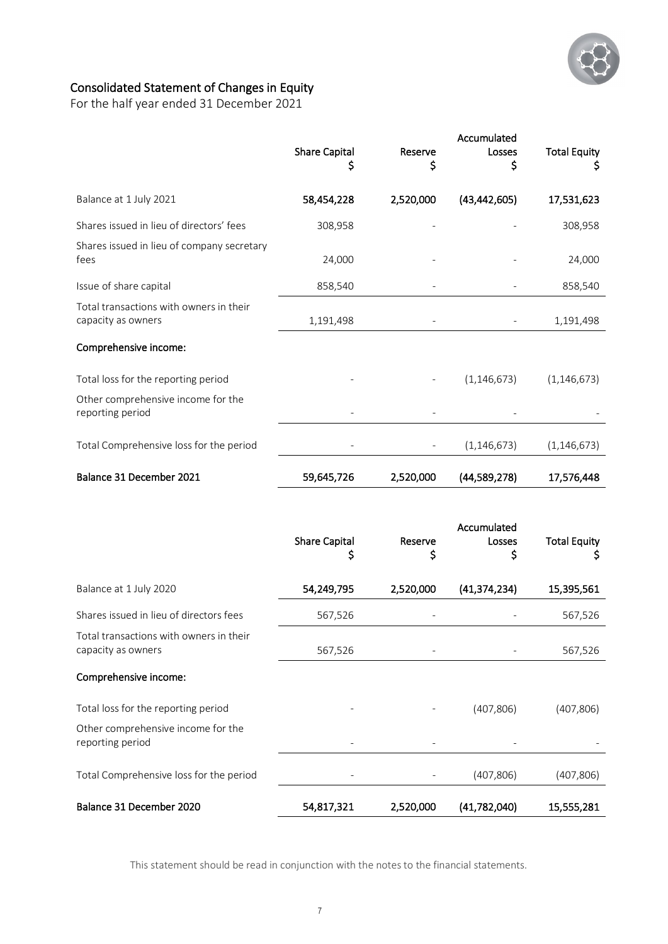

# <span id="page-9-0"></span>Consolidated Statement of Changes in Equity

For the half year ended 31 December 2021

|                                                               | <b>Share Capital</b><br>S | Reserve<br>s | Accumulated<br>Losses<br>Ś | <b>Total Equity</b>      |
|---------------------------------------------------------------|---------------------------|--------------|----------------------------|--------------------------|
| Balance at 1 July 2021                                        | 58,454,228                | 2,520,000    | (43, 442, 605)             | 17,531,623               |
| Shares issued in lieu of directors' fees                      | 308,958                   |              |                            | 308,958                  |
| Shares issued in lieu of company secretary<br>fees            | 24,000                    |              |                            | 24,000                   |
| Issue of share capital                                        | 858,540                   |              |                            | 858,540                  |
| Total transactions with owners in their<br>capacity as owners | 1,191,498                 |              |                            | 1,191,498                |
| Comprehensive income:                                         |                           |              |                            |                          |
| Total loss for the reporting period                           |                           |              | (1, 146, 673)              | (1, 146, 673)            |
| Other comprehensive income for the<br>reporting period        |                           |              |                            |                          |
| Total Comprehensive loss for the period                       |                           |              | (1, 146, 673)              | (1, 146, 673)            |
| Balance 31 December 2021                                      | 59,645,726                | 2,520,000    | (44,589,278)               | 17,576,448               |
|                                                               | <b>Share Capital</b><br>S | Reserve<br>Ş | Accumulated<br>Losses<br>S | <b>Total Equity</b><br>s |
| Balance at 1 July 2020                                        | 54,249,795                | 2,520,000    | (41, 374, 234)             | 15,395,561               |
| Shares issued in lieu of directors fees                       | 567,526                   |              |                            | 567,526                  |
| Total transactions with owners in their<br>capacity as owners | 567,526                   |              |                            | 567,526                  |
| Comprehensive income:                                         |                           |              |                            |                          |
| Total loss for the reporting period                           |                           |              | (407, 806)                 | (407, 806)               |
| Other comprehensive income for the<br>reporting period        |                           |              |                            |                          |
| Total Comprehensive loss for the period                       |                           |              | (407, 806)                 | (407, 806)               |

This statement should be read in conjunction with the notes to the financial statements.

Balance 31 December 2020 54,817,321 2,520,000 (41,782,040) 15,555,281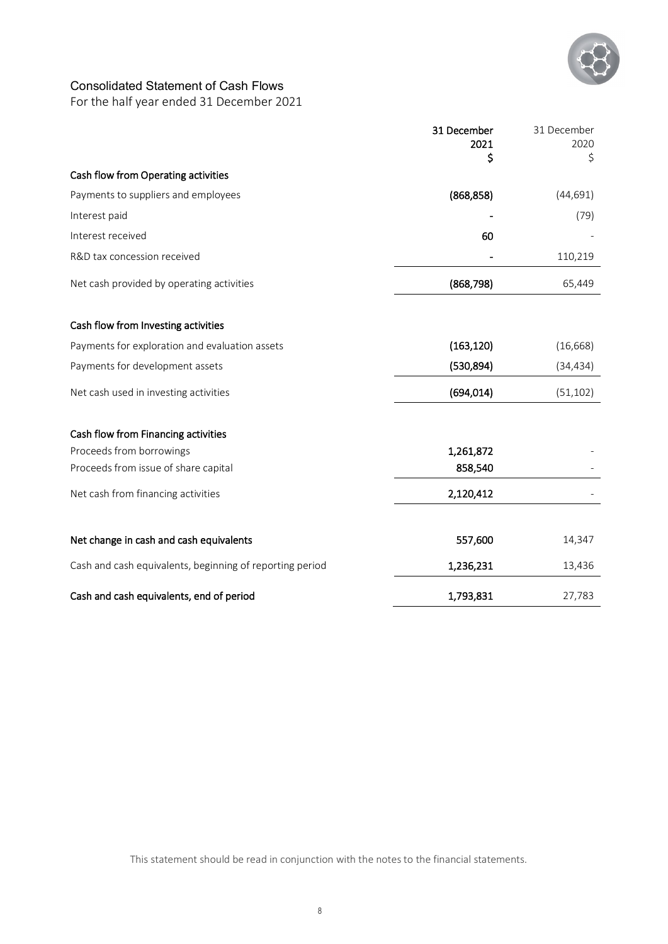

# <span id="page-10-0"></span>Consolidated Statement of Cash Flows

For the half year ended 31 December 2021

|                                                          | 31 December<br>2021<br>\$ | 31 December<br>2020<br>\$ |
|----------------------------------------------------------|---------------------------|---------------------------|
| Cash flow from Operating activities                      |                           |                           |
| Payments to suppliers and employees                      | (868, 858)                | (44, 691)                 |
| Interest paid                                            |                           | (79)                      |
| Interest received                                        | 60                        |                           |
| R&D tax concession received                              |                           | 110,219                   |
| Net cash provided by operating activities                | (868, 798)                | 65,449                    |
| Cash flow from Investing activities                      |                           |                           |
| Payments for exploration and evaluation assets           | (163, 120)                | (16, 668)                 |
| Payments for development assets                          | (530, 894)                | (34, 434)                 |
| Net cash used in investing activities                    | (694, 014)                | (51, 102)                 |
| Cash flow from Financing activities                      |                           |                           |
| Proceeds from borrowings                                 | 1,261,872                 |                           |
| Proceeds from issue of share capital                     | 858,540                   |                           |
| Net cash from financing activities                       | 2,120,412                 |                           |
| Net change in cash and cash equivalents                  | 557,600                   | 14,347                    |
| Cash and cash equivalents, beginning of reporting period | 1,236,231                 | 13,436                    |
| Cash and cash equivalents, end of period                 | 1,793,831                 | 27,783                    |

This statement should be read in conjunction with the notes to the financial statements.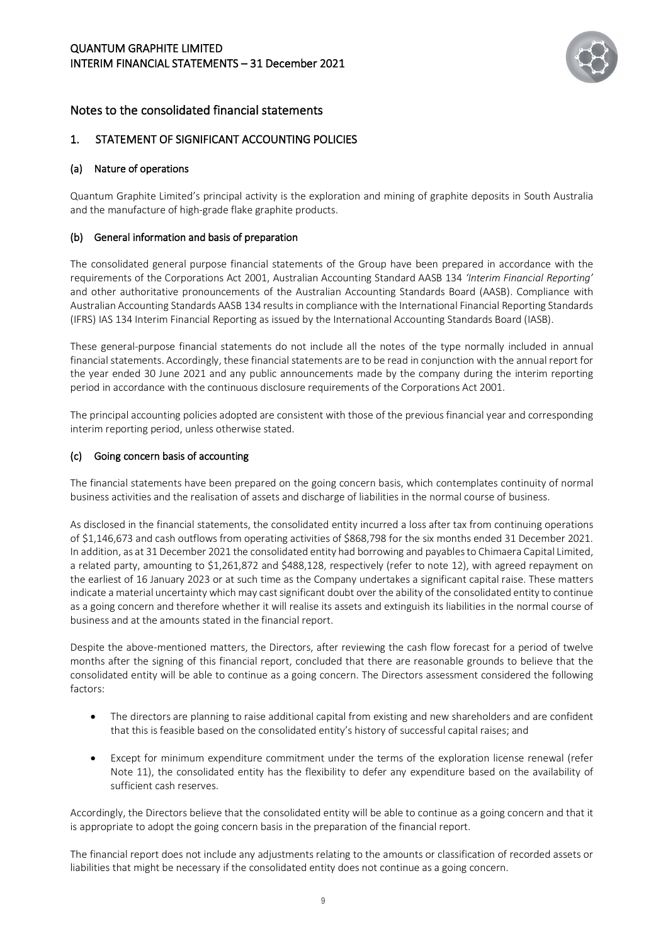

# <span id="page-11-0"></span>Notes to the consolidated financial statements

#### 1. STATEMENT OF SIGNIFICANT ACCOUNTING POLICIES

#### (a) Nature of operations

Quantum Graphite Limited's principal activity is the exploration and mining of graphite deposits in South Australia and the manufacture of high-grade flake graphite products.

#### (b) General information and basis of preparation

The consolidated general purpose financial statements of the Group have been prepared in accordance with the requirements of the Corporations Act 2001, Australian Accounting Standard AASB 134 *'Interim Financial Reporting'* and other authoritative pronouncements of the Australian Accounting Standards Board (AASB). Compliance with Australian Accounting Standards AASB 134 results in compliance with the International Financial Reporting Standards (IFRS) IAS 134 Interim Financial Reporting as issued by the International Accounting Standards Board (IASB).

These general-purpose financial statements do not include all the notes of the type normally included in annual financial statements. Accordingly, these financial statements are to be read in conjunction with the annual report for the year ended 30 June 2021 and any public announcements made by the company during the interim reporting period in accordance with the continuous disclosure requirements of the Corporations Act 2001.

The principal accounting policies adopted are consistent with those of the previous financial year and corresponding interim reporting period, unless otherwise stated.

#### (c) Going concern basis of accounting

The financial statements have been prepared on the going concern basis, which contemplates continuity of normal business activities and the realisation of assets and discharge of liabilities in the normal course of business.

As disclosed in the financial statements, the consolidated entity incurred a loss after tax from continuing operations of \$1,146,673 and cash outflows from operating activities of \$868,798 for the six months ended 31 December 2021. In addition, as at 31 December 2021 the consolidated entity had borrowing and payables to Chimaera Capital Limited, a related party, amounting to \$1,261,872 and \$488,128, respectively (refer to note 12), with agreed repayment on the earliest of 16 January 2023 or at such time as the Company undertakes a significant capital raise. These matters indicate a material uncertainty which may cast significant doubt over the ability of the consolidated entity to continue as a going concern and therefore whether it will realise its assets and extinguish its liabilities in the normal course of business and at the amounts stated in the financial report.

Despite the above-mentioned matters, the Directors, after reviewing the cash flow forecast for a period of twelve months after the signing of this financial report, concluded that there are reasonable grounds to believe that the consolidated entity will be able to continue as a going concern. The Directors assessment considered the following factors:

- The directors are planning to raise additional capital from existing and new shareholders and are confident that this is feasible based on the consolidated entity's history of successful capital raises; and
- Except for minimum expenditure commitment under the terms of the exploration license renewal (refer Note 11), the consolidated entity has the flexibility to defer any expenditure based on the availability of sufficient cash reserves.

Accordingly, the Directors believe that the consolidated entity will be able to continue as a going concern and that it is appropriate to adopt the going concern basis in the preparation of the financial report.

The financial report does not include any adjustments relating to the amounts or classification of recorded assets or liabilities that might be necessary if the consolidated entity does not continue as a going concern.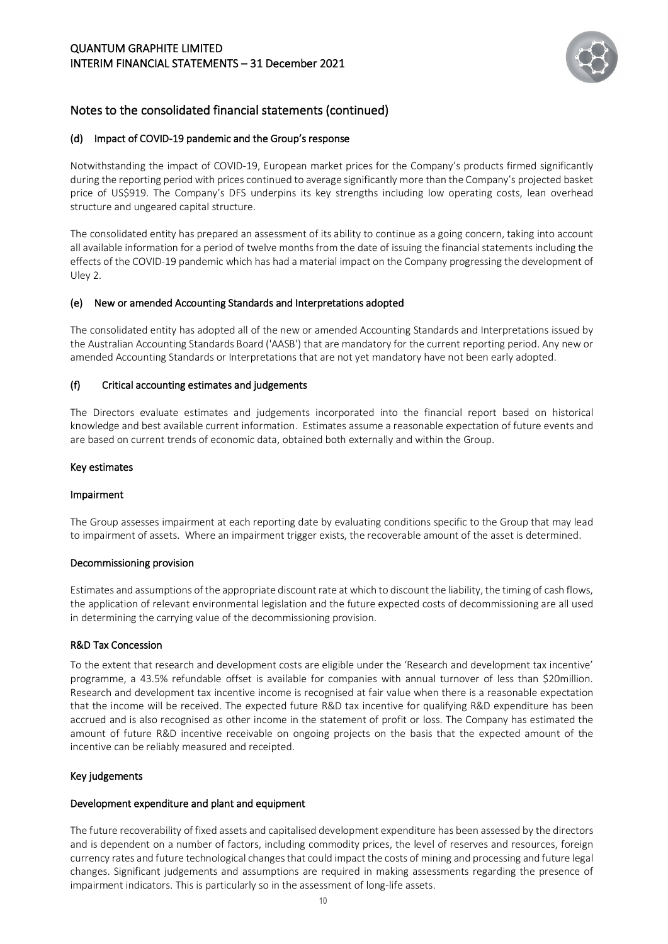

#### (d) Impact of COVID-19 pandemic and the Group's response

Notwithstanding the impact of COVID-19, European market prices for the Company's products firmed significantly during the reporting period with prices continued to average significantly more than the Company's projected basket price of US\$919. The Company's DFS underpins its key strengths including low operating costs, lean overhead structure and ungeared capital structure.

The consolidated entity has prepared an assessment of its ability to continue as a going concern, taking into account all available information for a period of twelve months from the date of issuing the financial statements including the effects of the COVID-19 pandemic which has had a material impact on the Company progressing the development of Uley 2.

#### (e) New or amended Accounting Standards and Interpretations adopted

The consolidated entity has adopted all of the new or amended Accounting Standards and Interpretations issued by the Australian Accounting Standards Board ('AASB') that are mandatory for the current reporting period. Any new or amended Accounting Standards or Interpretations that are not yet mandatory have not been early adopted.

#### (f) Critical accounting estimates and judgements

The Directors evaluate estimates and judgements incorporated into the financial report based on historical knowledge and best available current information. Estimates assume a reasonable expectation of future events and are based on current trends of economic data, obtained both externally and within the Group.

#### Key estimates

#### Impairment

The Group assesses impairment at each reporting date by evaluating conditions specific to the Group that may lead to impairment of assets. Where an impairment trigger exists, the recoverable amount of the asset is determined.

#### Decommissioning provision

Estimates and assumptions of the appropriate discount rate at which to discount the liability, the timing of cash flows, the application of relevant environmental legislation and the future expected costs of decommissioning are all used in determining the carrying value of the decommissioning provision.

#### R&D Tax Concession

To the extent that research and development costs are eligible under the 'Research and development tax incentive' programme, a 43.5% refundable offset is available for companies with annual turnover of less than \$20million. Research and development tax incentive income is recognised at fair value when there is a reasonable expectation that the income will be received. The expected future R&D tax incentive for qualifying R&D expenditure has been accrued and is also recognised as other income in the statement of profit or loss. The Company has estimated the amount of future R&D incentive receivable on ongoing projects on the basis that the expected amount of the incentive can be reliably measured and receipted.

#### Key judgements

#### Development expenditure and plant and equipment

The future recoverability of fixed assets and capitalised development expenditure has been assessed by the directors and is dependent on a number of factors, including commodity prices, the level of reserves and resources, foreign currency rates and future technological changes that could impact the costs of mining and processing and future legal changes. Significant judgements and assumptions are required in making assessments regarding the presence of impairment indicators. This is particularly so in the assessment of long-life assets.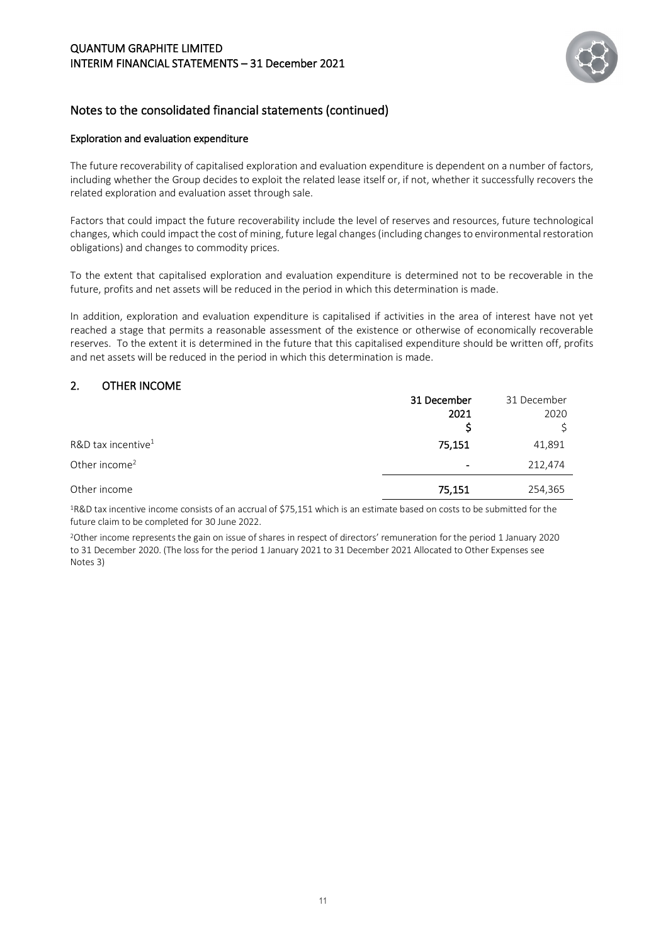

#### Exploration and evaluation expenditure

The future recoverability of capitalised exploration and evaluation expenditure is dependent on a number of factors, including whether the Group decides to exploit the related lease itself or, if not, whether it successfully recovers the related exploration and evaluation asset through sale.

Factors that could impact the future recoverability include the level of reserves and resources, future technological changes, which could impact the cost of mining, future legal changes (including changes to environmental restoration obligations) and changes to commodity prices.

To the extent that capitalised exploration and evaluation expenditure is determined not to be recoverable in the future, profits and net assets will be reduced in the period in which this determination is made.

In addition, exploration and evaluation expenditure is capitalised if activities in the area of interest have not yet reached a stage that permits a reasonable assessment of the existence or otherwise of economically recoverable reserves. To the extent it is determined in the future that this capitalised expenditure should be written off, profits and net assets will be reduced in the period in which this determination is made.

# 2. OTHER INCOME

|                                  | 31 December              | 31 December |
|----------------------------------|--------------------------|-------------|
|                                  | 2021                     | 2020        |
|                                  |                          |             |
| $R&D$ tax incentive <sup>1</sup> | 75,151                   | 41,891      |
| Other income <sup>2</sup>        | $\overline{\phantom{a}}$ | 212,474     |
| Other income                     | 75,151                   | 254,365     |

1R&D tax incentive income consists of an accrual of \$75,151 which is an estimate based on costs to be submitted for the future claim to be completed for 30 June 2022.

2Other income represents the gain on issue of shares in respect of directors' remuneration for the period 1 January 2020 to 31 December 2020. (The loss for the period 1 January 2021 to 31 December 2021 Allocated to Other Expenses see Notes 3)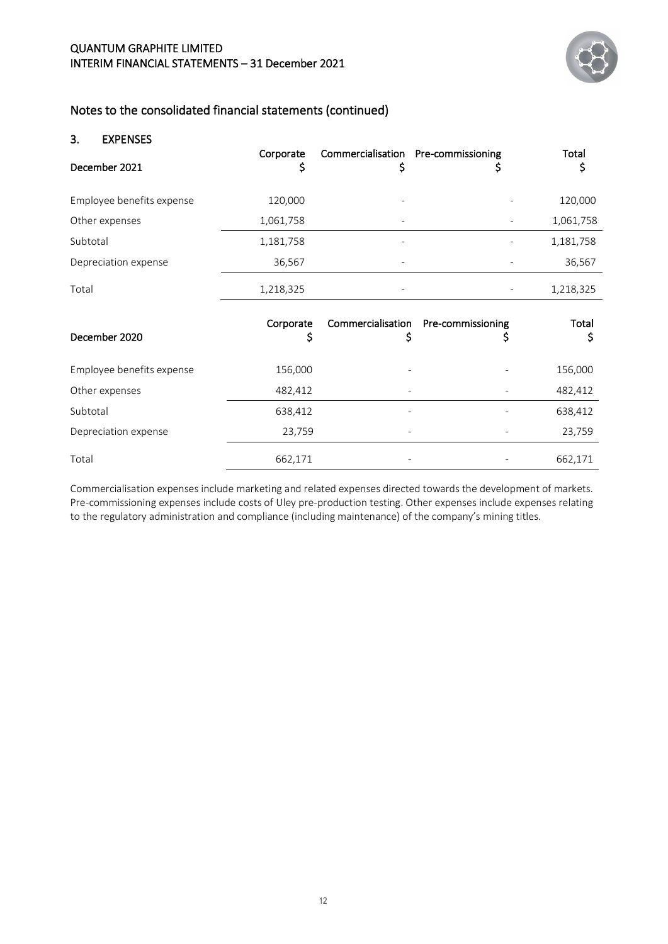

#### 3. EXPENSES

| December 2021             | Corporate<br>\$ | Commercialisation Pre-commissioning<br>\$ | Ş                      | Total<br>Ş  |
|---------------------------|-----------------|-------------------------------------------|------------------------|-------------|
| Employee benefits expense | 120,000         |                                           |                        | 120,000     |
| Other expenses            | 1,061,758       |                                           |                        | 1,061,758   |
| Subtotal                  | 1,181,758       |                                           |                        | 1,181,758   |
| Depreciation expense      | 36,567          |                                           |                        | 36,567      |
| Total                     | 1,218,325       |                                           |                        | 1,218,325   |
|                           |                 |                                           |                        |             |
| December 2020             | Corporate<br>\$ | Commercialisation<br>\$                   | Pre-commissioning<br>S | Total<br>\$ |
| Employee benefits expense | 156,000         |                                           |                        | 156,000     |
| Other expenses            | 482,412         |                                           |                        | 482,412     |
| Subtotal                  | 638,412         |                                           |                        | 638,412     |
| Depreciation expense      | 23,759          |                                           |                        | 23,759      |

Commercialisation expenses include marketing and related expenses directed towards the development of markets. Pre-commissioning expenses include costs of Uley pre-production testing. Other expenses include expenses relating to the regulatory administration and compliance (including maintenance) of the company's mining titles.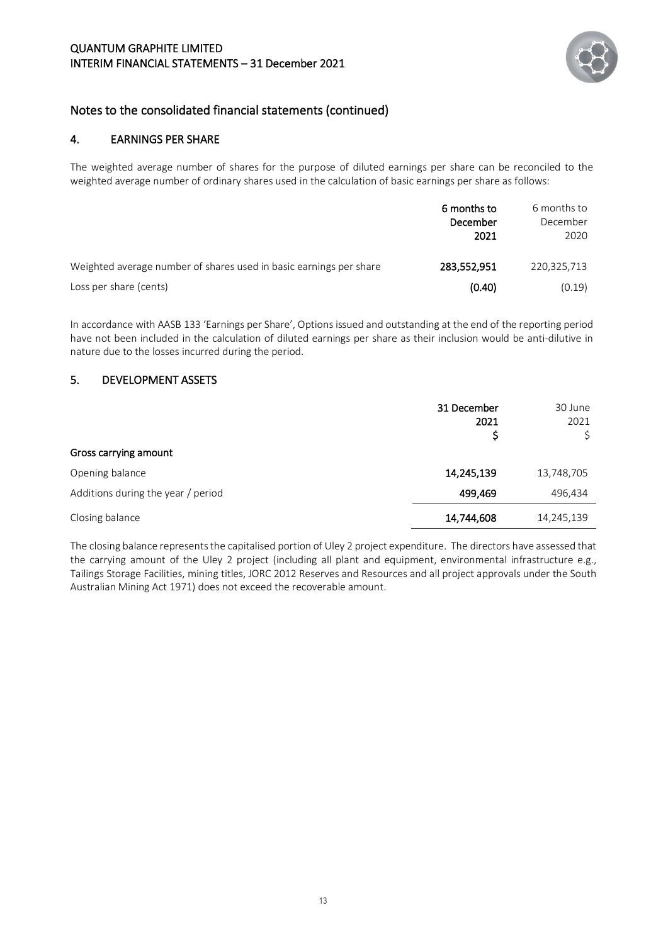

#### 4. EARNINGS PER SHARE

The weighted average number of shares for the purpose of diluted earnings per share can be reconciled to the weighted average number of ordinary shares used in the calculation of basic earnings per share as follows:

|                                                                    | 6 months to<br>December<br>2021 | 6 months to<br>December<br>2020 |
|--------------------------------------------------------------------|---------------------------------|---------------------------------|
| Weighted average number of shares used in basic earnings per share | 283,552,951                     | 220,325,713                     |
| Loss per share (cents)                                             | (0.40)                          | (0.19)                          |

In accordance with AASB 133 'Earnings per Share', Options issued and outstanding at the end of the reporting period have not been included in the calculation of diluted earnings per share as their inclusion would be anti-dilutive in nature due to the losses incurred during the period.

#### 5. DEVELOPMENT ASSETS

| Gross carrying amount              | 31 December<br>2021 | 30 June<br>2021 |
|------------------------------------|---------------------|-----------------|
|                                    |                     |                 |
| Opening balance                    | 14,245,139          | 13,748,705      |
| Additions during the year / period | 499,469             | 496,434         |
| Closing balance                    | 14,744,608          | 14,245,139      |

The closing balance represents the capitalised portion of Uley 2 project expenditure. The directors have assessed that the carrying amount of the Uley 2 project (including all plant and equipment, environmental infrastructure e.g., Tailings Storage Facilities, mining titles, JORC 2012 Reserves and Resources and all project approvals under the South Australian Mining Act 1971) does not exceed the recoverable amount.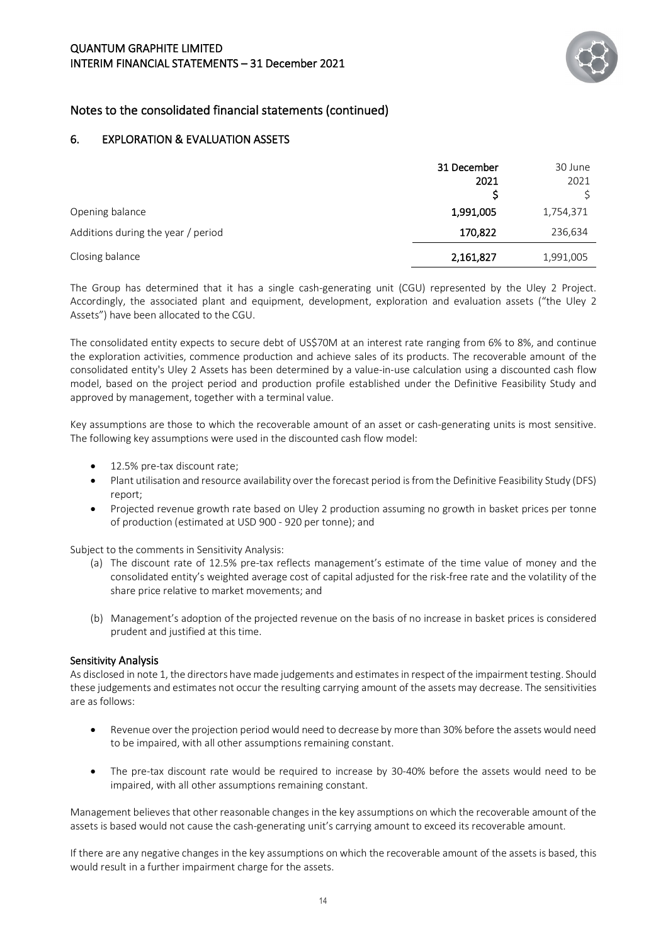

## 6. EXPLORATION & EVALUATION ASSETS

|                                    | 31 December<br>2021 | 30 June<br>2021 |
|------------------------------------|---------------------|-----------------|
| Opening balance                    | 1,991,005           | 1,754,371       |
| Additions during the year / period | 170,822             | 236,634         |
| Closing balance                    | 2,161,827           | 1,991,005       |

The Group has determined that it has a single cash-generating unit (CGU) represented by the Uley 2 Project. Accordingly, the associated plant and equipment, development, exploration and evaluation assets ("the Uley 2 Assets") have been allocated to the CGU.

The consolidated entity expects to secure debt of US\$70M at an interest rate ranging from 6% to 8%, and continue the exploration activities, commence production and achieve sales of its products. The recoverable amount of the consolidated entity's Uley 2 Assets has been determined by a value-in-use calculation using a discounted cash flow model, based on the project period and production profile established under the Definitive Feasibility Study and approved by management, together with a terminal value.

Key assumptions are those to which the recoverable amount of an asset or cash-generating units is most sensitive. The following key assumptions were used in the discounted cash flow model:

- 12.5% pre-tax discount rate;
- Plant utilisation and resource availability over the forecast period is from the Definitive Feasibility Study (DFS) report;
- Projected revenue growth rate based on Uley 2 production assuming no growth in basket prices per tonne of production (estimated at USD 900 - 920 per tonne); and

Subject to the comments in Sensitivity Analysis:

- (a) The discount rate of 12.5% pre-tax reflects management's estimate of the time value of money and the consolidated entity's weighted average cost of capital adjusted for the risk-free rate and the volatility of the share price relative to market movements; and
- (b) Management's adoption of the projected revenue on the basis of no increase in basket prices is considered prudent and justified at this time.

#### Sensitivity Analysis

As disclosed in note 1, the directors have made judgements and estimates in respect of the impairment testing. Should these judgements and estimates not occur the resulting carrying amount of the assets may decrease. The sensitivities are as follows:

- Revenue over the projection period would need to decrease by more than 30% before the assets would need to be impaired, with all other assumptions remaining constant.
- The pre-tax discount rate would be required to increase by 30-40% before the assets would need to be impaired, with all other assumptions remaining constant.

Management believes that other reasonable changes in the key assumptions on which the recoverable amount of the assets is based would not cause the cash-generating unit's carrying amount to exceed its recoverable amount.

If there are any negative changes in the key assumptions on which the recoverable amount of the assets is based, this would result in a further impairment charge for the assets.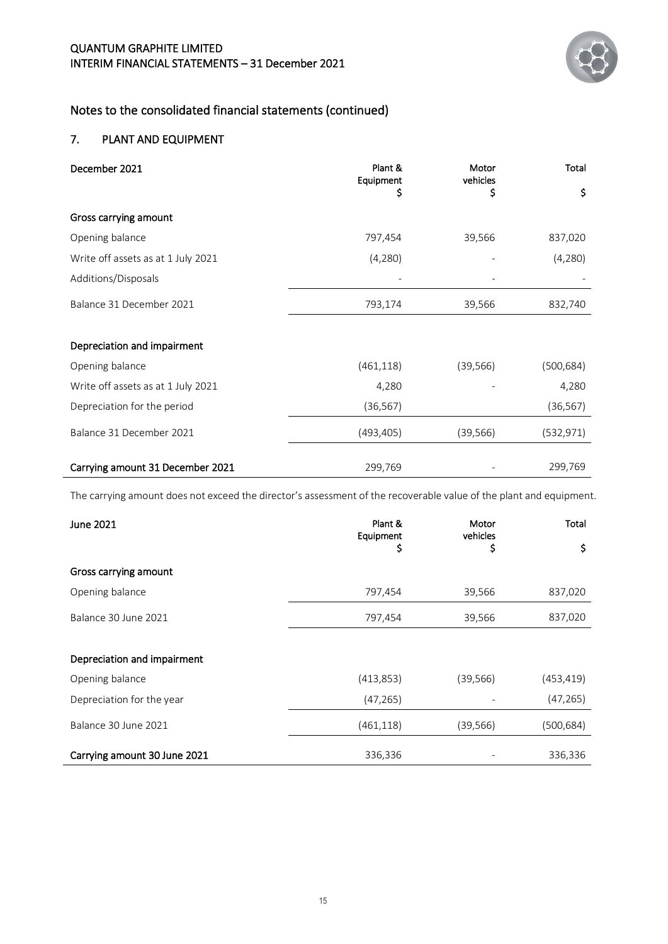

# 7. PLANT AND EQUIPMENT

| December 2021                      | Plant &<br>Equipment | Motor<br>vehicles | Total      |
|------------------------------------|----------------------|-------------------|------------|
|                                    | \$                   | \$                | \$         |
| Gross carrying amount              |                      |                   |            |
| Opening balance                    | 797,454              | 39,566            | 837,020    |
| Write off assets as at 1 July 2021 | (4,280)              |                   | (4,280)    |
| Additions/Disposals                |                      |                   |            |
| Balance 31 December 2021           | 793,174              | 39,566            | 832,740    |
| Depreciation and impairment        |                      |                   |            |
| Opening balance                    | (461, 118)           | (39, 566)         | (500, 684) |
| Write off assets as at 1 July 2021 | 4,280                |                   | 4,280      |
| Depreciation for the period        | (36, 567)            |                   | (36, 567)  |
| Balance 31 December 2021           | (493, 405)           | (39, 566)         | (532, 971) |
| Carrying amount 31 December 2021   | 299,769              |                   | 299,769    |

The carrying amount does not exceed the director's assessment of the recoverable value of the plant and equipment.

| June 2021                    | Plant &<br>Equipment | Motor<br>vehicles | <b>Total</b> |
|------------------------------|----------------------|-------------------|--------------|
|                              | \$                   | \$                | \$           |
| Gross carrying amount        |                      |                   |              |
| Opening balance              | 797,454              | 39,566            | 837,020      |
| Balance 30 June 2021         | 797,454              | 39,566            | 837,020      |
|                              |                      |                   |              |
| Depreciation and impairment  |                      |                   |              |
| Opening balance              | (413, 853)           | (39, 566)         | (453,419)    |
| Depreciation for the year    | (47, 265)            |                   | (47, 265)    |
| Balance 30 June 2021         | (461, 118)           | (39, 566)         | (500,684)    |
| Carrying amount 30 June 2021 | 336,336              |                   | 336,336      |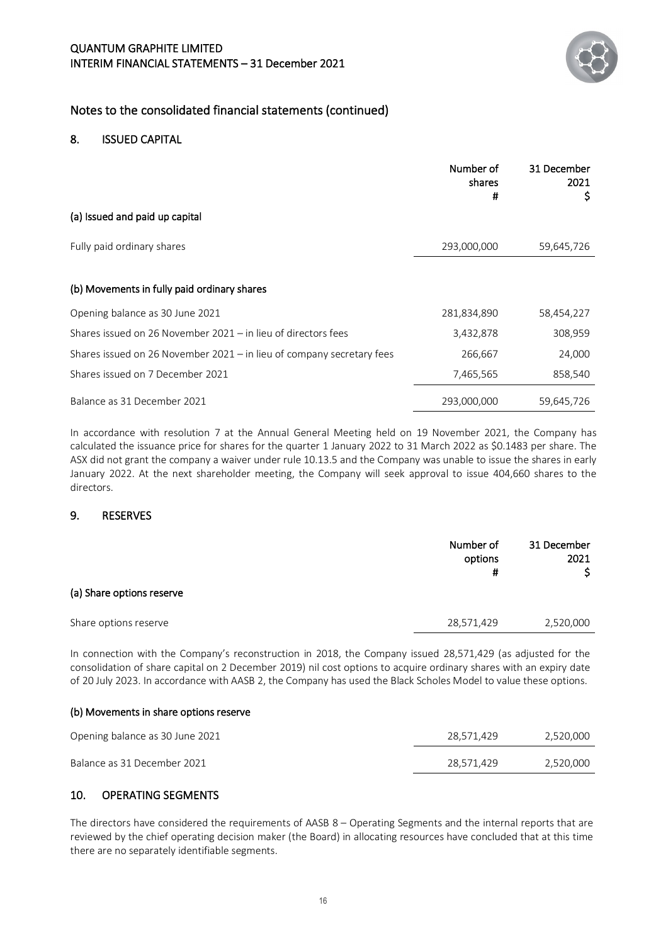

#### 8. ISSUED CAPITAL

|                                                                       | Number of<br>shares<br>Ħ | 31 December<br>2021<br>\$, |
|-----------------------------------------------------------------------|--------------------------|----------------------------|
| (a) Issued and paid up capital                                        |                          |                            |
| Fully paid ordinary shares                                            | 293,000,000              | 59,645,726                 |
| (b) Movements in fully paid ordinary shares                           |                          |                            |
| Opening balance as 30 June 2021                                       | 281,834,890              | 58,454,227                 |
| Shares issued on 26 November 2021 - in lieu of directors fees         | 3,432,878                | 308,959                    |
| Shares issued on 26 November 2021 - in lieu of company secretary fees | 266,667                  | 24,000                     |
| Shares issued on 7 December 2021                                      | 7,465,565                | 858,540                    |
| Balance as 31 December 2021                                           | 293,000,000              | 59,645,726                 |

In accordance with resolution 7 at the Annual General Meeting held on 19 November 2021, the Company has calculated the issuance price for shares for the quarter 1 January 2022 to 31 March 2022 as \$0.1483 per share. The ASX did not grant the company a waiver under rule 10.13.5 and the Company was unable to issue the shares in early January 2022. At the next shareholder meeting, the Company will seek approval to issue 404,660 shares to the directors.

#### 9. RESERVES

|                           | Number of<br>options<br># | 31 December<br>2021 |
|---------------------------|---------------------------|---------------------|
| (a) Share options reserve |                           |                     |
| Share options reserve     | 28,571,429                | 2,520,000           |

In connection with the Company's reconstruction in 2018, the Company issued 28,571,429 (as adjusted for the consolidation of share capital on 2 December 2019) nil cost options to acquire ordinary shares with an expiry date of 20 July 2023. In accordance with AASB 2, the Company has used the Black Scholes Model to value these options.

#### (b) Movements in share options reserve

| Opening balance as 30 June 2021 | 28.571.429 | 2,520,000 |
|---------------------------------|------------|-----------|
| Balance as 31 December 2021     | 28.571.429 | 2.520.000 |

#### 10. OPERATING SEGMENTS

The directors have considered the requirements of AASB 8 – Operating Segments and the internal reports that are reviewed by the chief operating decision maker (the Board) in allocating resources have concluded that at this time there are no separately identifiable segments.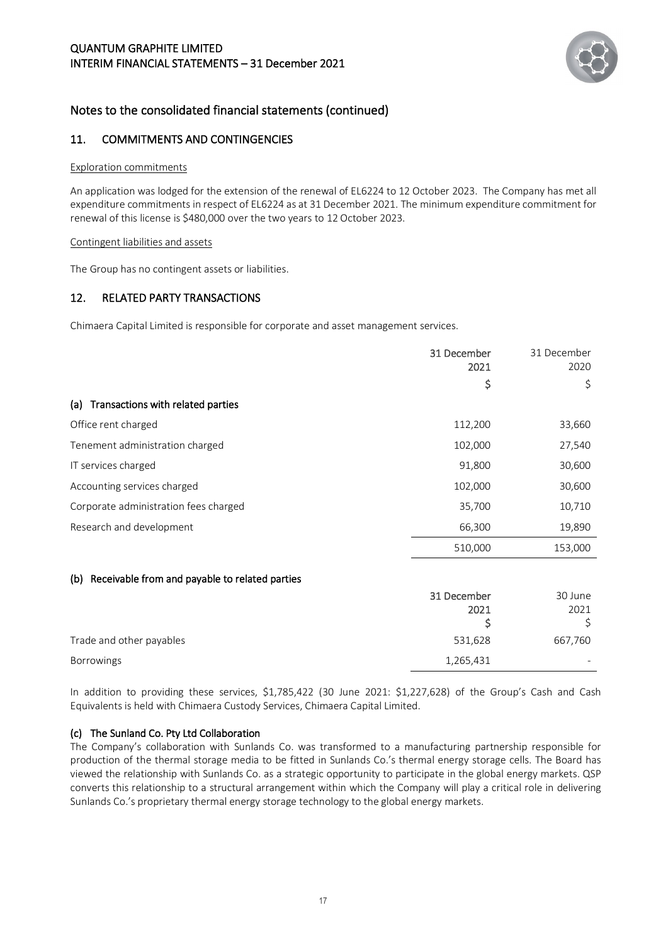

#### 11. COMMITMENTS AND CONTINGENCIES

#### Exploration commitments

An application was lodged for the extension of the renewal of EL6224 to 12 October 2023. The Company has met all expenditure commitments in respect of EL6224 as at 31 December 2021. The minimum expenditure commitment for renewal of this license is \$480,000 over the two years to 12 October 2023.

#### Contingent liabilities and assets

The Group has no contingent assets or liabilities.

#### 12. RELATED PARTY TRANSACTIONS

Chimaera Capital Limited is responsible for corporate and asset management services.

|                                       | 31 December<br>2021 | 31 December<br>2020 |
|---------------------------------------|---------------------|---------------------|
|                                       | Ş                   | \$                  |
| (a) Transactions with related parties |                     |                     |
| Office rent charged                   | 112,200             | 33,660              |
| Tenement administration charged       | 102,000             | 27,540              |
| IT services charged                   | 91,800              | 30,600              |
| Accounting services charged           | 102,000             | 30,600              |
| Corporate administration fees charged | 35,700              | 10,710              |
| Research and development              | 66,300              | 19,890              |
|                                       | 510,000             | 153,000             |

#### (b) Receivable from and payable to related parties

| 31 December | 30 June |
|-------------|---------|
| 2021        | 2021    |
|             |         |
| 531,628     | 667,760 |
| 1,265,431   |         |
|             |         |

In addition to providing these services, \$1,785,422 (30 June 2021: \$1,227,628) of the Group's Cash and Cash Equivalents is held with Chimaera Custody Services, Chimaera Capital Limited.

#### (c) The Sunland Co. Pty Ltd Collaboration

The Company's collaboration with Sunlands Co. was transformed to a manufacturing partnership responsible for production of the thermal storage media to be fitted in Sunlands Co.'s thermal energy storage cells. The Board has viewed the relationship with Sunlands Co. as a strategic opportunity to participate in the global energy markets. QSP converts this relationship to a structural arrangement within which the Company will play a critical role in delivering Sunlands Co.'s proprietary thermal energy storage technology to the global energy markets.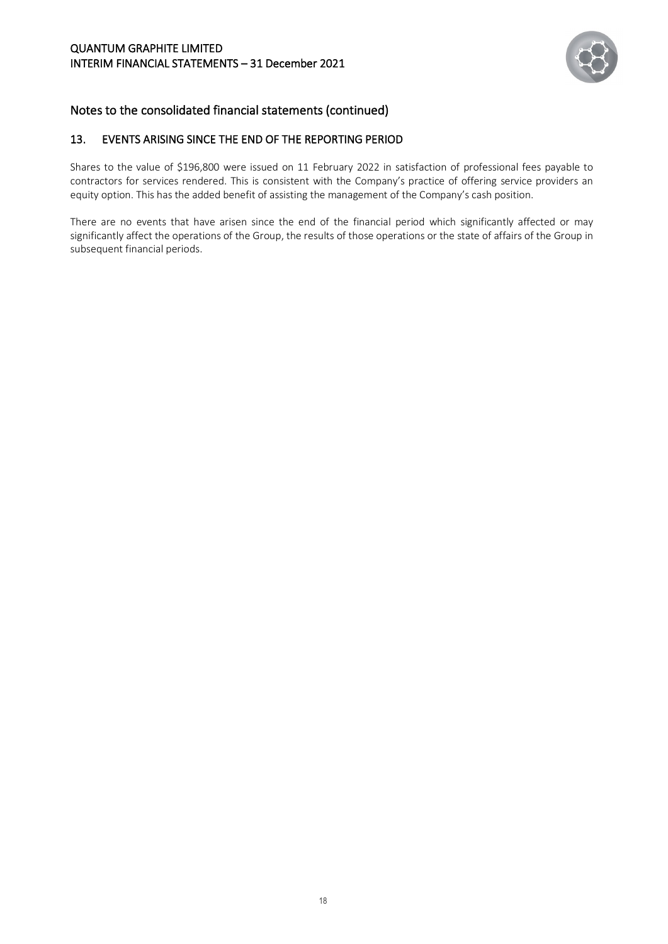#### QUANTUM GRAPHITE LIMITED INTERIM FINANCIAL STATEMENTS – 31 December 2021



# Notes to the consolidated financial statements (continued)

## 13. EVENTS ARISING SINCE THE END OF THE REPORTING PERIOD

Shares to the value of \$196,800 were issued on 11 February 2022 in satisfaction of professional fees payable to contractors for services rendered. This is consistent with the Company's practice of offering service providers an equity option. This has the added benefit of assisting the management of the Company's cash position.

There are no events that have arisen since the end of the financial period which significantly affected or may significantly affect the operations of the Group, the results of those operations or the state of affairs of the Group in subsequent financial periods.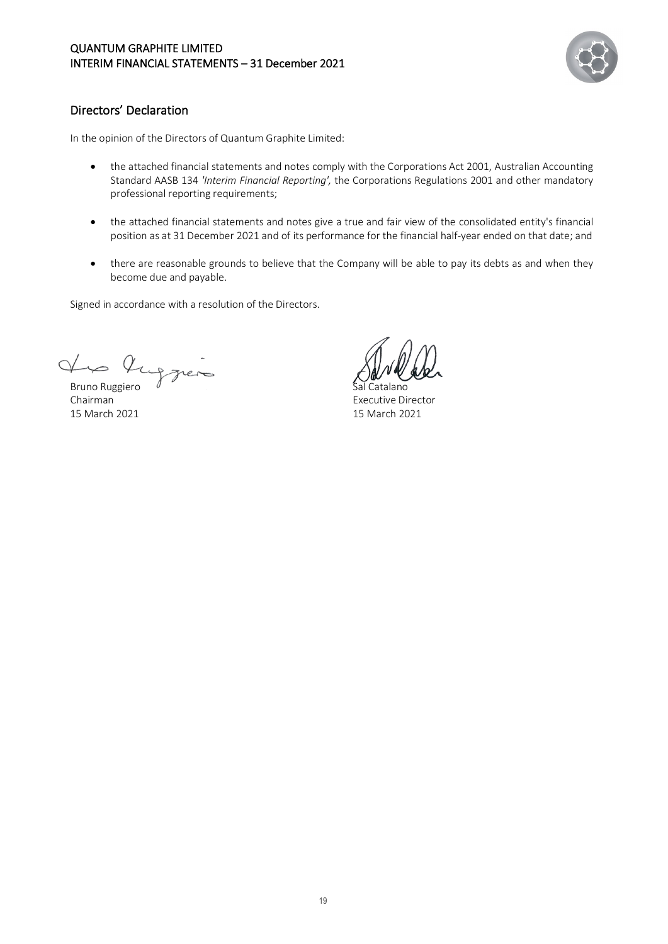

# <span id="page-21-0"></span>Directors' Declaration

In the opinion of the Directors of Quantum Graphite Limited:

- the attached financial statements and notes comply with the Corporations Act 2001, Australian Accounting Standard AASB 134 *'Interim Financial Reporting',* the Corporations Regulations 2001 and other mandatory professional reporting requirements;
- the attached financial statements and notes give a true and fair view of the consolidated entity's financial position as at 31 December 2021 and of its performance for the financial half-year ended on that date; and
- there are reasonable grounds to believe that the Company will be able to pay its debts as and when they become due and payable.

Signed in accordance with a resolution of the Directors.

Que Que greno

15 March 2021 15 March 2021

Chairman Executive Director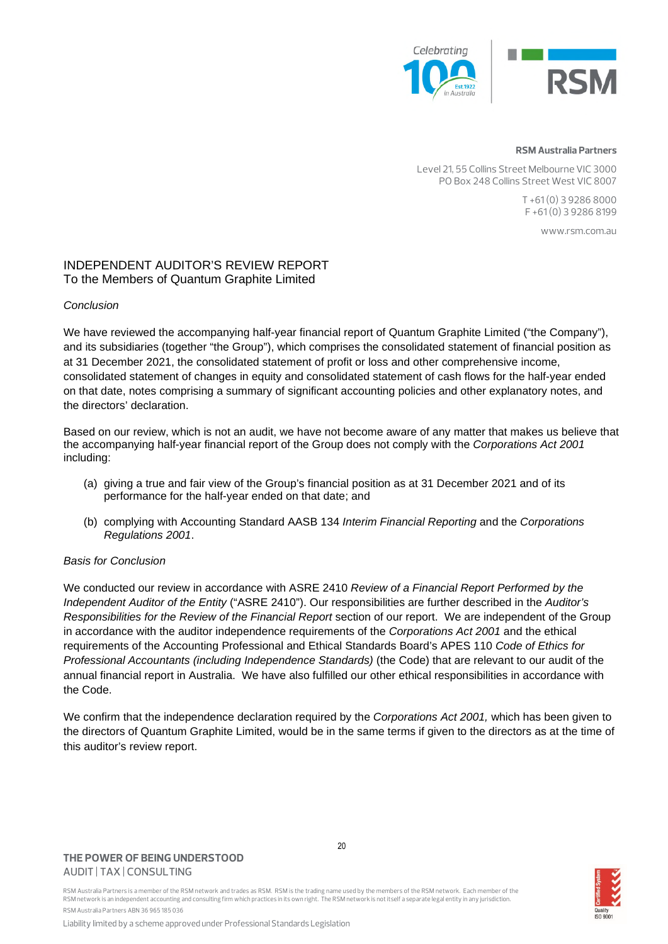



#### **RSM Australia Partners**

Level 21, 55 Collins Street Melbourne VIC 3000 PO Box 248 Collins Street West VIC 8007

> T +61 (0) 3 9286 8000 F +61 (0) 3 9286 8199

> > www.rsm.com.au

#### INDEPENDENT AUDITOR'S REVIEW REPORT To the Members of Quantum Graphite Limited

#### *Conclusion*

We have reviewed the accompanying half-year financial report of Quantum Graphite Limited ("the Company"), and its subsidiaries (together "the Group"), which comprises the consolidated statement of financial position as at 31 December 2021, the consolidated statement of profit or loss and other comprehensive income, consolidated statement of changes in equity and consolidated statement of cash flows for the half-year ended on that date, notes comprising a summary of significant accounting policies and other explanatory notes, and the directors' declaration.

Based on our review, which is not an audit, we have not become aware of any matter that makes us believe that the accompanying half-year financial report of the Group does not comply with the *Corporations Act 2001* including:

- (a) giving a true and fair view of the Group's financial position as at 31 December 2021 and of its performance for the half-year ended on that date; and
- (b) complying with Accounting Standard AASB 134 *Interim Financial Reporting* and the *Corporations Regulations 2001*.

#### *Basis for Conclusion*

We conducted our review in accordance with ASRE 2410 *Review of a Financial Report Performed by the Independent Auditor of the Entity* ("ASRE 2410"). Our responsibilities are further described in the *Auditor's Responsibilities for the Review of the Financial Report* section of our report. We are independent of the Group in accordance with the auditor independence requirements of the *Corporations Act 2001* and the ethical requirements of the Accounting Professional and Ethical Standards Board's APES 110 *Code of Ethics for Professional Accountants (including Independence Standards)* (the Code) that are relevant to our audit of the annual financial report in Australia. We have also fulfilled our other ethical responsibilities in accordance with the Code.

We confirm that the independence declaration required by the *Corporations Act 2001,* which has been given to the directors of Quantum Graphite Limited, would be in the same terms if given to the directors as at the time of this auditor's review report.

#### **THE POWER OF BEING UNDERSTOOD** AUDIT | TAX | CONSULTING



RSM Australia Partners is a member of the RSM network and trades as RSM. RSM is the trading name used by the members of the RSM network. Each member of the RSM network is an independent accounting and consulting firm which practices in its own right. The RSM network is not itself a separate legal entity in any jurisdiction. RSM Australia Partners ABN 36 965 185 036